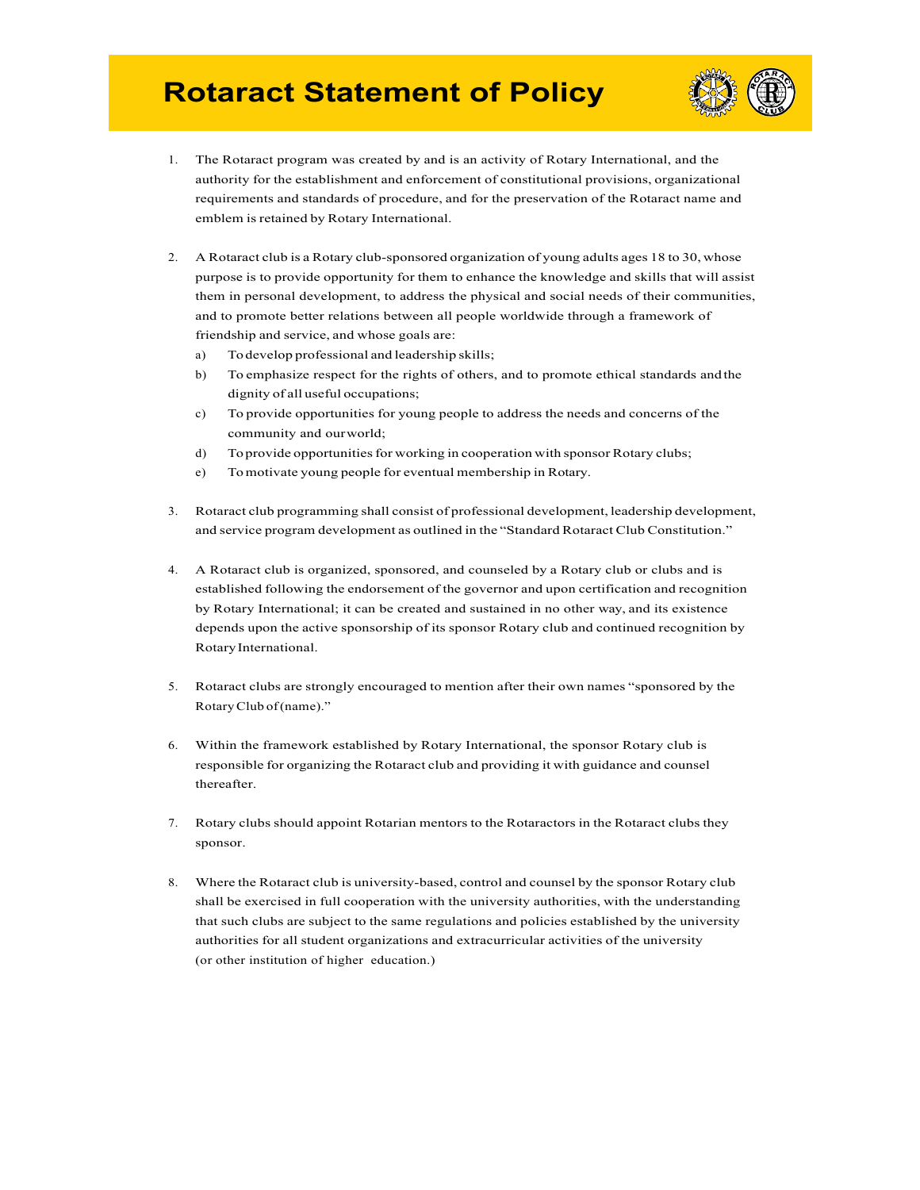## **Rotaract Statement of Policy**



- 1. The Rotaract program was created by and is an activity of Rotary International, and the authority for the establishment and enforcement of constitutional provisions, organizational requirements and standards of procedure, and for the preservation of the Rotaract name and emblem is retained by Rotary International.
- 2. A Rotaract club is a Rotary club-sponsored organization of young adults ages 18 to 30, whose purpose is to provide opportunity for them to enhance the knowledge and skills that will assist them in personal development, to address the physical and social needs of their communities, and to promote better relations between all people worldwide through a framework of friendship and service, and whose goals are:
	- a) Todevelop professional and leadership skills;
	- b) To emphasize respect for the rights of others, and to promote ethical standards andthe dignity of all useful occupations;
	- c) To provide opportunities for young people to address the needs and concerns of the community and ourworld;
	- d) To provide opportunities for working in cooperation with sponsor Rotary clubs;
	- e) Tomotivate young people for eventual membership in Rotary.
- 3. Rotaract club programming shall consist of professional development, leadership development, and service program development as outlined in the "Standard Rotaract Club Constitution."
- 4. A Rotaract club is organized, sponsored, and counseled by a Rotary club or clubs and is established following the endorsement of the governor and upon certification and recognition by Rotary International; it can be created and sustained in no other way, and its existence depends upon the active sponsorship of its sponsor Rotary club and continued recognition by RotaryInternational.
- 5. Rotaract clubs are strongly encouraged to mention after their own names "sponsored by the RotaryClub of(name)."
- 6. Within the framework established by Rotary International, the sponsor Rotary club is responsible for organizing the Rotaract club and providing it with guidance and counsel thereafter.
- 7. Rotary clubs should appoint Rotarian mentors to the Rotaractors in the Rotaract clubs they sponsor.
- 8. Where the Rotaract club is university-based, control and counsel by the sponsor Rotary club shall be exercised in full cooperation with the university authorities, with the understanding that such clubs are subject to the same regulations and policies established by the university authorities for all student organizations and extracurricular activities of the university (or other institution of higher education.)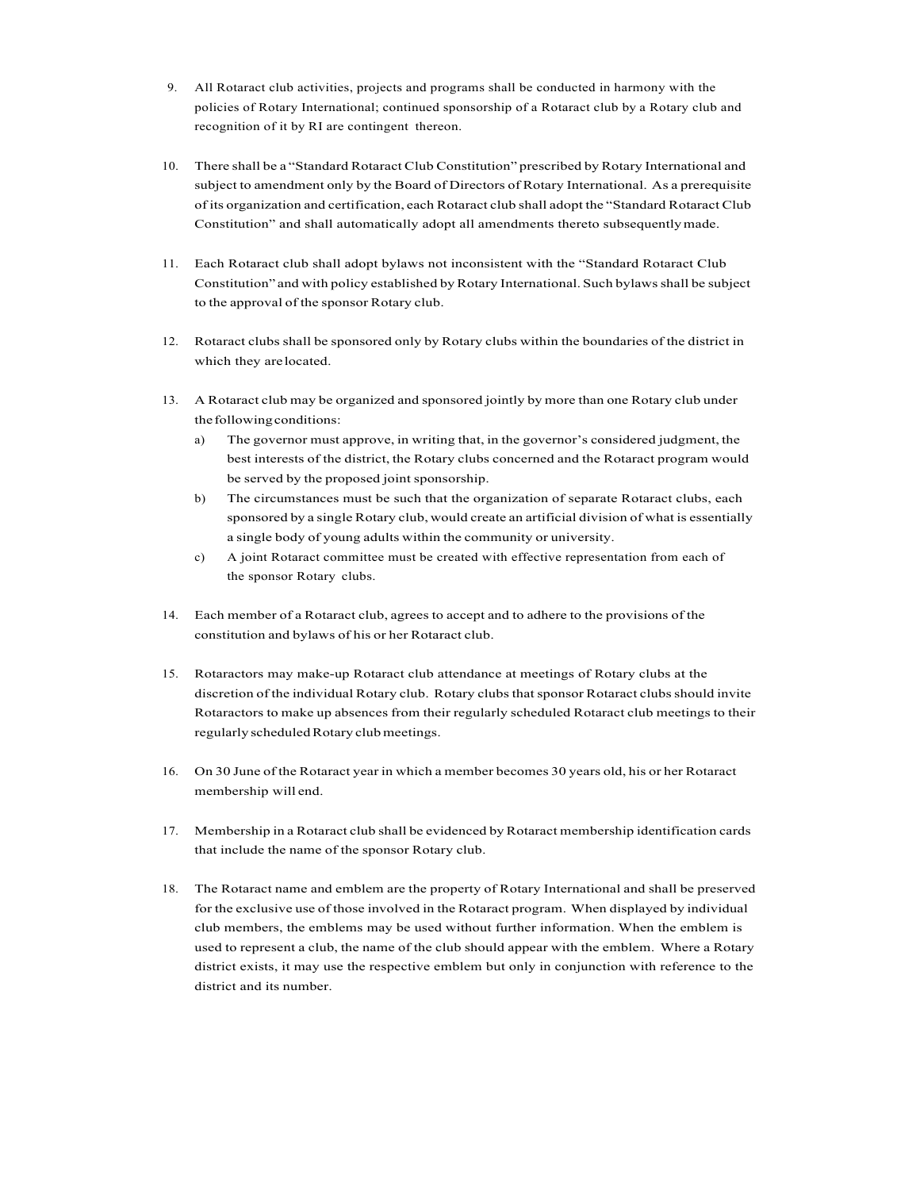- 9. All Rotaract club activities, projects and programs shall be conducted in harmony with the policies of Rotary International; continued sponsorship of a Rotaract club by a Rotary club and recognition of it by RI are contingent thereon.
- 10. There shall be a "Standard Rotaract Club Constitution" prescribed by Rotary International and subject to amendment only by the Board of Directors of Rotary International. As a prerequisite of its organization and certification, each Rotaract club shall adopt the "Standard Rotaract Club Constitution" and shall automatically adopt all amendments thereto subsequentlymade.
- 11. Each Rotaract club shall adopt bylaws not inconsistent with the "Standard Rotaract Club Constitution" and with policy established byRotary International. Such bylawsshall be subject to the approval of the sponsor Rotary club.
- 12. Rotaract clubs shall be sponsored only by Rotary clubs within the boundaries of the district in which they arelocated.
- 13. A Rotaract club may be organized and sponsored jointly by more than one Rotary club under the following conditions:
	- a) The governor must approve, in writing that, in the governor's considered judgment, the best interests of the district, the Rotary clubs concerned and the Rotaract program would be served by the proposed joint sponsorship.
	- b) The circumstances must be such that the organization of separate Rotaract clubs, each sponsored by a single Rotary club, would create an artificial division of what is essentially a single body of young adults within the community or university.
	- c) A joint Rotaract committee must be created with effective representation from each of the sponsor Rotary clubs.
- 14. Each member of a Rotaract club, agrees to accept and to adhere to the provisions of the constitution and bylaws of his or her Rotaract club.
- 15. Rotaractors may make-up Rotaract club attendance at meetings of Rotary clubs at the discretion of the individual Rotary club. Rotary clubs that sponsor Rotaract clubs should invite Rotaractors to make up absences from their regularly scheduled Rotaract club meetings to their regularly scheduled Rotary club meetings.
- 16. On 30 June of the Rotaract year in which a member becomes 30 years old, his or her Rotaract membership will end.
- 17. Membership in a Rotaract club shall be evidenced by Rotaract membership identification cards that include the name of the sponsor Rotary club.
- 18. The Rotaract name and emblem are the property of Rotary International and shall be preserved for the exclusive use of those involved in the Rotaract program. When displayed by individual club members, the emblems may be used without further information. When the emblem is used to represent a club, the name of the club should appear with the emblem. Where a Rotary district exists, it may use the respective emblem but only in conjunction with reference to the district and its number.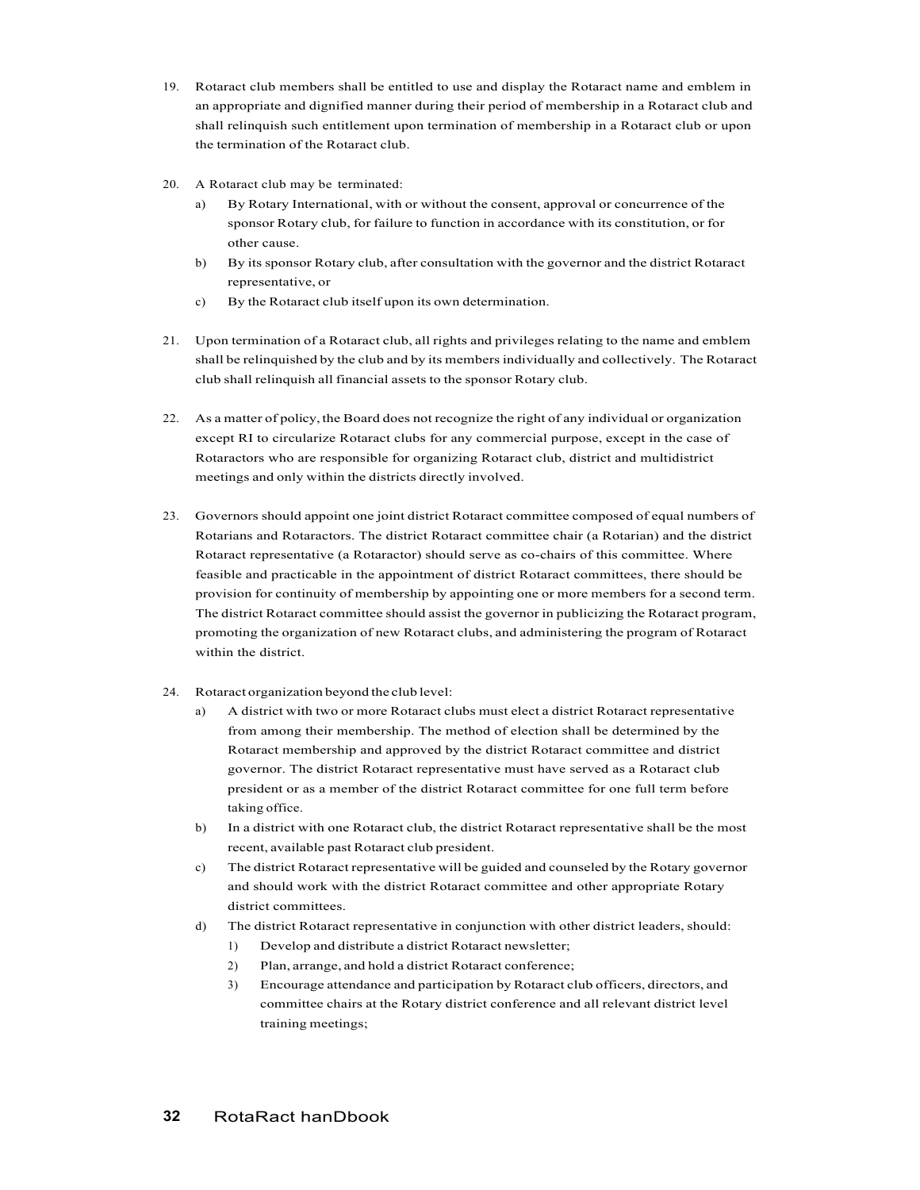- 19. Rotaract club members shall be entitled to use and display the Rotaract name and emblem in an appropriate and dignified manner during their period of membership in a Rotaract club and shall relinquish such entitlement upon termination of membership in a Rotaract club or upon the termination of the Rotaract club.
- 20. A Rotaract club may be terminated:
	- a) By Rotary International, with or without the consent, approval or concurrence of the sponsor Rotary club, for failure to function in accordance with its constitution, or for other cause.
	- b) By its sponsor Rotary club, after consultation with the governor and the district Rotaract representative, or
	- c) By the Rotaract club itself upon its own determination.
- 21. Upon termination of a Rotaract club, all rights and privileges relating to the name and emblem shall be relinquished by the club and by its membersindividually and collectively. The Rotaract club shall relinquish all financial assets to the sponsor Rotary club.
- 22. As a matter of policy, the Board does not recognize the right of any individual or organization except RI to circularize Rotaract clubs for any commercial purpose, except in the case of Rotaractors who are responsible for organizing Rotaract club, district and multidistrict meetings and only within the districts directly involved.
- 23. Governors should appoint one joint district Rotaract committee composed of equal numbers of Rotarians and Rotaractors. The district Rotaract committee chair (a Rotarian) and the district Rotaract representative (a Rotaractor) should serve as co-chairs of this committee. Where feasible and practicable in the appointment of district Rotaract committees, there should be provision for continuity of membership by appointing one or more members for a second term. The district Rotaract committee should assist the governor in publicizing the Rotaract program, promoting the organization of new Rotaract clubs, and administering the program of Rotaract within the district.
- 24. Rotaract organization beyond the club level:
	- a) A district with two or more Rotaract clubs must elect a district Rotaract representative from among their membership. The method of election shall be determined by the Rotaract membership and approved by the district Rotaract committee and district governor. The district Rotaract representative must have served as a Rotaract club president or as a member of the district Rotaract committee for one full term before taking office.
	- b) In a district with one Rotaract club, the district Rotaract representative shall be the most recent, available past Rotaract club president.
	- c) The district Rotaract representative will be guided and counseled by the Rotary governor and should work with the district Rotaract committee and other appropriate Rotary district committees.
	- d) The district Rotaract representative in conjunction with other district leaders, should:
		- 1) Develop and distribute a district Rotaract newsletter;
		- 2) Plan, arrange, and hold a district Rotaract conference;
		- 3) Encourage attendance and participation by Rotaract club officers, directors, and committee chairs at the Rotary district conference and all relevant district level training meetings;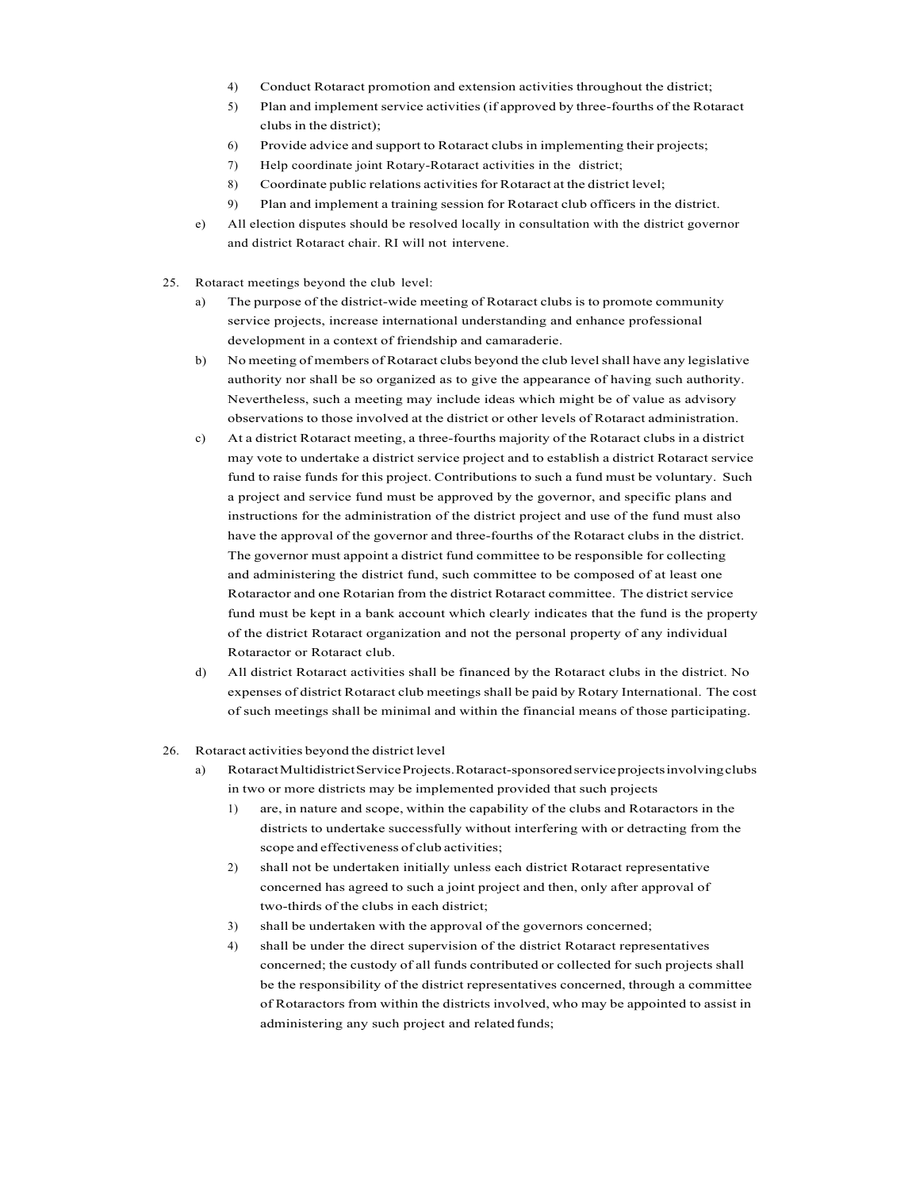- 4) Conduct Rotaract promotion and extension activities throughout the district;
- 5) Plan and implement service activities (if approved by three-fourths of the Rotaract clubs in the district);
- 6) Provide advice and support to Rotaract clubsin implementing their projects;
- 7) Help coordinate joint Rotary-Rotaract activities in the district;
- 8) Coordinate public relations activities for Rotaract at the district level;
- 9) Plan and implement a training session for Rotaract club officers in the district.
- e) All election disputes should be resolved locally in consultation with the district governor and district Rotaract chair. RI will not intervene.
- 25. Rotaract meetings beyond the club level:
	- a) The purpose of the district-wide meeting of Rotaract clubs is to promote community service projects, increase international understanding and enhance professional development in a context of friendship and camaraderie.
	- b) No meeting of members of Rotaract clubs beyond the club levelshall have any legislative authority nor shall be so organized as to give the appearance of having such authority. Nevertheless, such a meeting may include ideas which might be of value as advisory observations to those involved at the district or other levels of Rotaract administration.
	- c) At a district Rotaract meeting, a three-fourths majority of the Rotaract clubs in a district may vote to undertake a district service project and to establish a district Rotaract service fund to raise funds for this project. Contributions to such a fund must be voluntary. Such a project and service fund must be approved by the governor, and specific plans and instructions for the administration of the district project and use of the fund must also have the approval of the governor and three-fourths of the Rotaract clubs in the district. The governor must appoint a district fund committee to be responsible for collecting and administering the district fund, such committee to be composed of at least one Rotaractor and one Rotarian from the district Rotaract committee. The district service fund must be kept in a bank account which clearly indicates that the fund is the property of the district Rotaract organization and not the personal property of any individual Rotaractor or Rotaract club.
	- d) All district Rotaract activities shall be financed by the Rotaract clubs in the district. No expenses of district Rotaract club meetings shall be paid by Rotary International. The cost of such meetings shall be minimal and within the financial means of those participating.
- 26. Rotaract activities beyond the district level
	- a) RotaractMultidistrictServiceProjects.Rotaract-sponsoredserviceprojectsinvolvingclubs in two or more districts may be implemented provided that such projects
		- 1) are, in nature and scope, within the capability of the clubs and Rotaractors in the districts to undertake successfully without interfering with or detracting from the scope and effectiveness of club activities;
		- 2) shall not be undertaken initially unless each district Rotaract representative concerned has agreed to such a joint project and then, only after approval of two-thirds of the clubs in each district;
		- 3) shall be undertaken with the approval of the governors concerned;
		- 4) shall be under the direct supervision of the district Rotaract representatives concerned; the custody of all funds contributed or collected for such projects shall be the responsibility of the district representatives concerned, through a committee of Rotaractors from within the districts involved, who may be appointed to assist in administering any such project and related funds;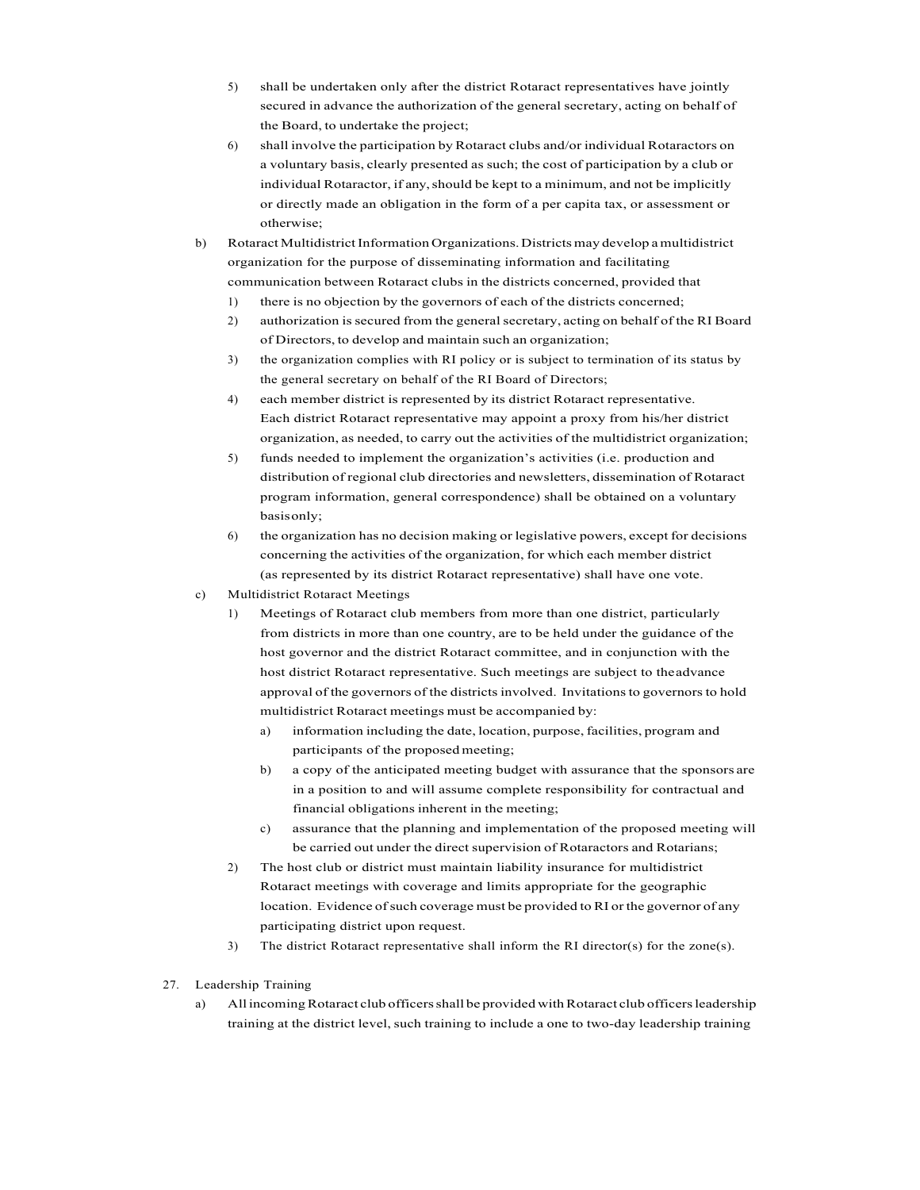- 5) shall be undertaken only after the district Rotaract representatives have jointly secured in advance the authorization of the general secretary, acting on behalf of the Board, to undertake the project;
- 6) shall involve the participation by Rotaract clubs and/or individual Rotaractors on a voluntary basis, clearly presented as such; the cost of participation by a club or individual Rotaractor, if any, should be kept to a minimum, and not be implicitly or directly made an obligation in the form of a per capita tax, or assessment or otherwise;
- b) RotaractMultidistrictInformation Organizations.Districtsmay develop amultidistrict organization for the purpose of disseminating information and facilitating communication between Rotaract clubs in the districts concerned, provided that
	- 1) there is no objection by the governors of each of the districts concerned;
	- 2) authorization is secured from the general secretary, acting on behalf of the RI Board of Directors, to develop and maintain such an organization;
	- 3) the organization complies with RI policy or is subject to termination of its status by the general secretary on behalf of the RI Board of Directors;
	- 4) each member district is represented by its district Rotaract representative. Each district Rotaract representative may appoint a proxy from his/her district organization, as needed, to carry out the activities of the multidistrict organization;
	- 5) funds needed to implement the organization's activities (i.e. production and distribution of regional club directories and newsletters, dissemination of Rotaract program information, general correspondence) shall be obtained on a voluntary basisonly;
	- 6) the organization has no decision making or legislative powers, except for decisions concerning the activities of the organization, for which each member district (as represented by its district Rotaract representative) shall have one vote.
- c) Multidistrict Rotaract Meetings
	- 1) Meetings of Rotaract club members from more than one district, particularly from districts in more than one country, are to be held under the guidance of the host governor and the district Rotaract committee, and in conjunction with the host district Rotaract representative. Such meetings are subject to theadvance approval of the governors of the districts involved. Invitations to governors to hold multidistrict Rotaract meetings must be accompanied by:
		- a) information including the date, location, purpose, facilities, program and participants of the proposedmeeting;
		- b) a copy of the anticipated meeting budget with assurance that the sponsors are in a position to and will assume complete responsibility for contractual and financial obligations inherent in the meeting;
		- c) assurance that the planning and implementation of the proposed meeting will be carried out under the direct supervision of Rotaractors and Rotarians;
	- 2) The host club or district must maintain liability insurance for multidistrict Rotaract meetings with coverage and limits appropriate for the geographic location. Evidence of such coverage must be provided to RI or the governor of any participating district upon request.
	- 3) The district Rotaract representative shall inform the RI director(s) for the zone(s).
- 27. Leadership Training
	- a) All incoming Rotaract club officers shall be provided with Rotaract club officers leadership training at the district level, such training to include a one to two-day leadership training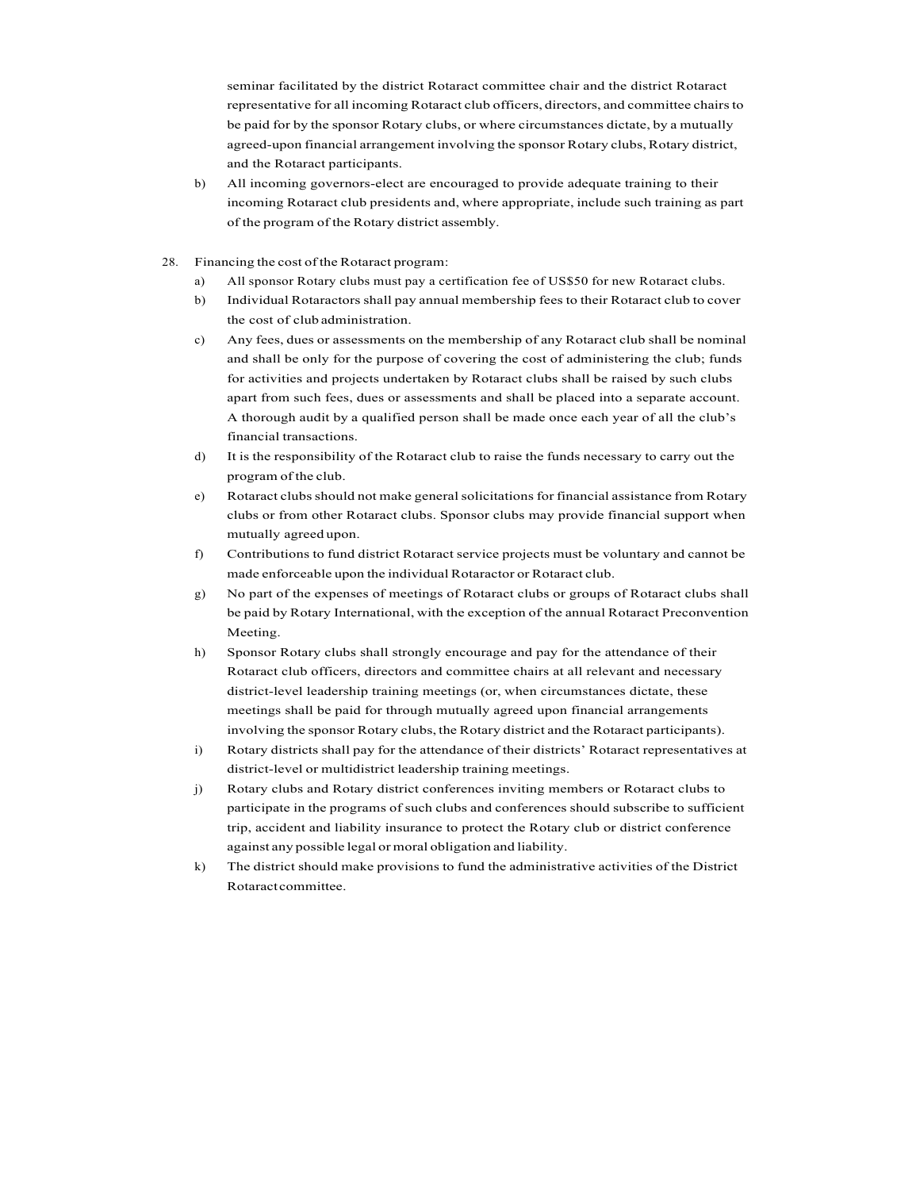seminar facilitated by the district Rotaract committee chair and the district Rotaract representative for all incoming Rotaract club officers, directors, and committee chairsto be paid for by the sponsor Rotary clubs, or where circumstances dictate, by a mutually agreed-upon financial arrangement involving the sponsor Rotary clubs,Rotary district, and the Rotaract participants.

- b) All incoming governors-elect are encouraged to provide adequate training to their incoming Rotaract club presidents and, where appropriate, include such training as part of the program of the Rotary district assembly.
- 28. Financing the cost of the Rotaract program:
	- a) All sponsor Rotary clubs must pay a certification fee of US\$50 for new Rotaract clubs.
	- b) Individual Rotaractors shall pay annual membership fees to their Rotaract club to cover the cost of club administration.
	- c) Any fees, dues or assessments on the membership of any Rotaract club shall be nominal and shall be only for the purpose of covering the cost of administering the club; funds for activities and projects undertaken by Rotaract clubs shall be raised by such clubs apart from such fees, dues or assessments and shall be placed into a separate account. A thorough audit by a qualified person shall be made once each year of all the club's financial transactions.
	- d) It is the responsibility of the Rotaract club to raise the funds necessary to carry out the program of the club.
	- e) Rotaract clubs should not make general solicitations for financial assistance from Rotary clubs or from other Rotaract clubs. Sponsor clubs may provide financial support when mutually agreed upon.
	- f) Contributions to fund district Rotaract service projects must be voluntary and cannot be made enforceable upon the individual Rotaractor or Rotaract club.
	- g) No part of the expenses of meetings of Rotaract clubs or groups of Rotaract clubs shall be paid by Rotary International, with the exception of the annual Rotaract Preconvention Meeting.
	- h) Sponsor Rotary clubs shall strongly encourage and pay for the attendance of their Rotaract club officers, directors and committee chairs at all relevant and necessary district-level leadership training meetings (or, when circumstances dictate, these meetings shall be paid for through mutually agreed upon financial arrangements involving the sponsor Rotary clubs, the Rotary district and the Rotaract participants).
	- i) Rotary districts shall pay for the attendance of their districts' Rotaract representatives at district-level or multidistrict leadership training meetings.
	- j) Rotary clubs and Rotary district conferences inviting members or Rotaract clubs to participate in the programs of such clubs and conferences should subscribe to sufficient trip, accident and liability insurance to protect the Rotary club or district conference against any possible legal ormoral obligation and liability.
	- k) The district should make provisions to fund the administrative activities of the District Rotaractcommittee.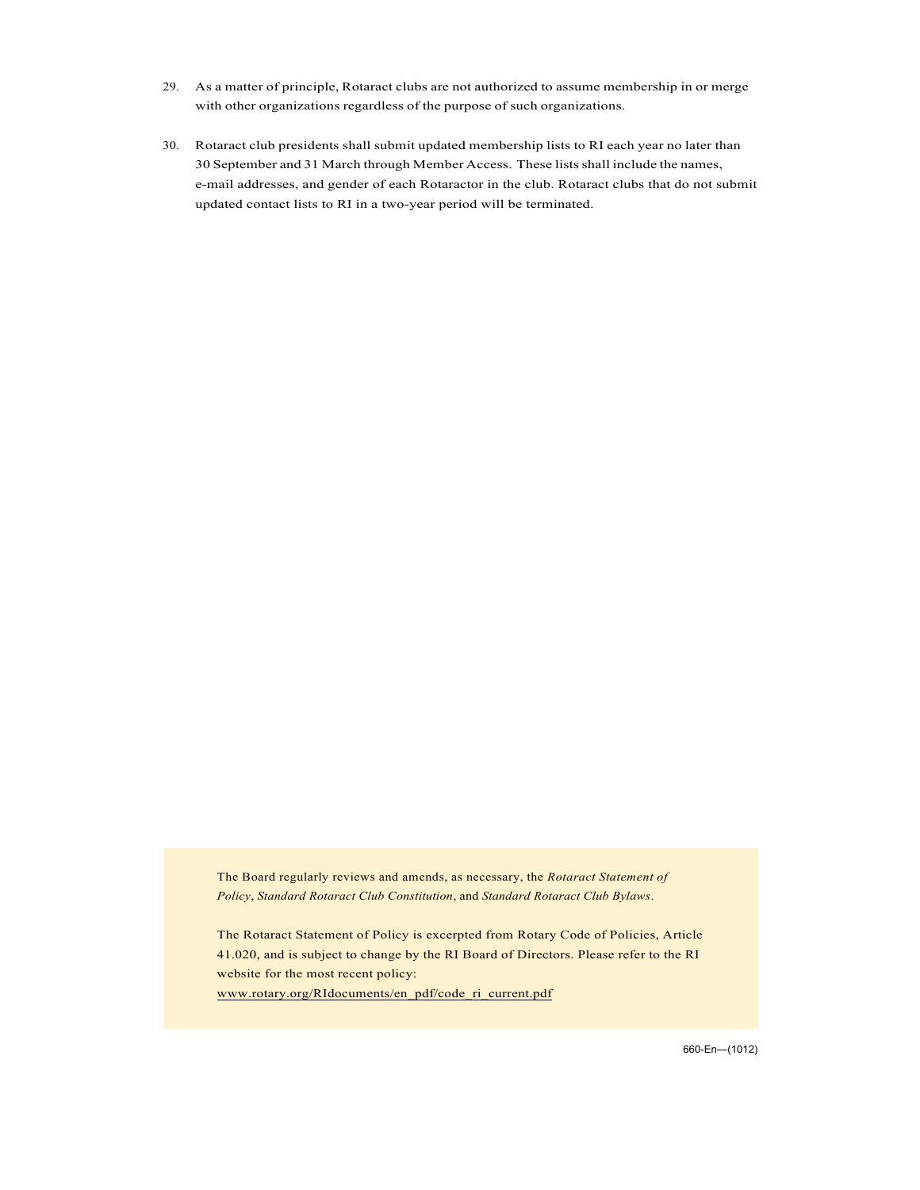- 29. As a matter of principle, Rotaract clubs are not authorized to assume membership in or merge with other organizations regardless of the purpose of such organizations.
- 30. Rotaract club presidents shall submit updated membership lists to RI each year no later than 30 September and 31 March through Member Access. These listsshall include the names, e-mail addresses, and gender of each Rotaractor in the club. Rotaract clubs that do not submit updated contact lists to RI in a two-year period will be terminated.

The Board regularly reviews and amends, as necessary, the *Rotaract Statement of Policy*, *Standard Rotaract Club Constitution*, and *Standard Rotaract Club Bylaws*.

The Rotaract Statement of Policy is excerpted from Rotary Code of Policies, Article 41.020, and is subject to change by the RI Board of Directors. Please refer to the RI website for the most recent policy: www.rotary.org/RIdocuments/en\_pdf/code\_ri\_current.pdf

660.En—(1012)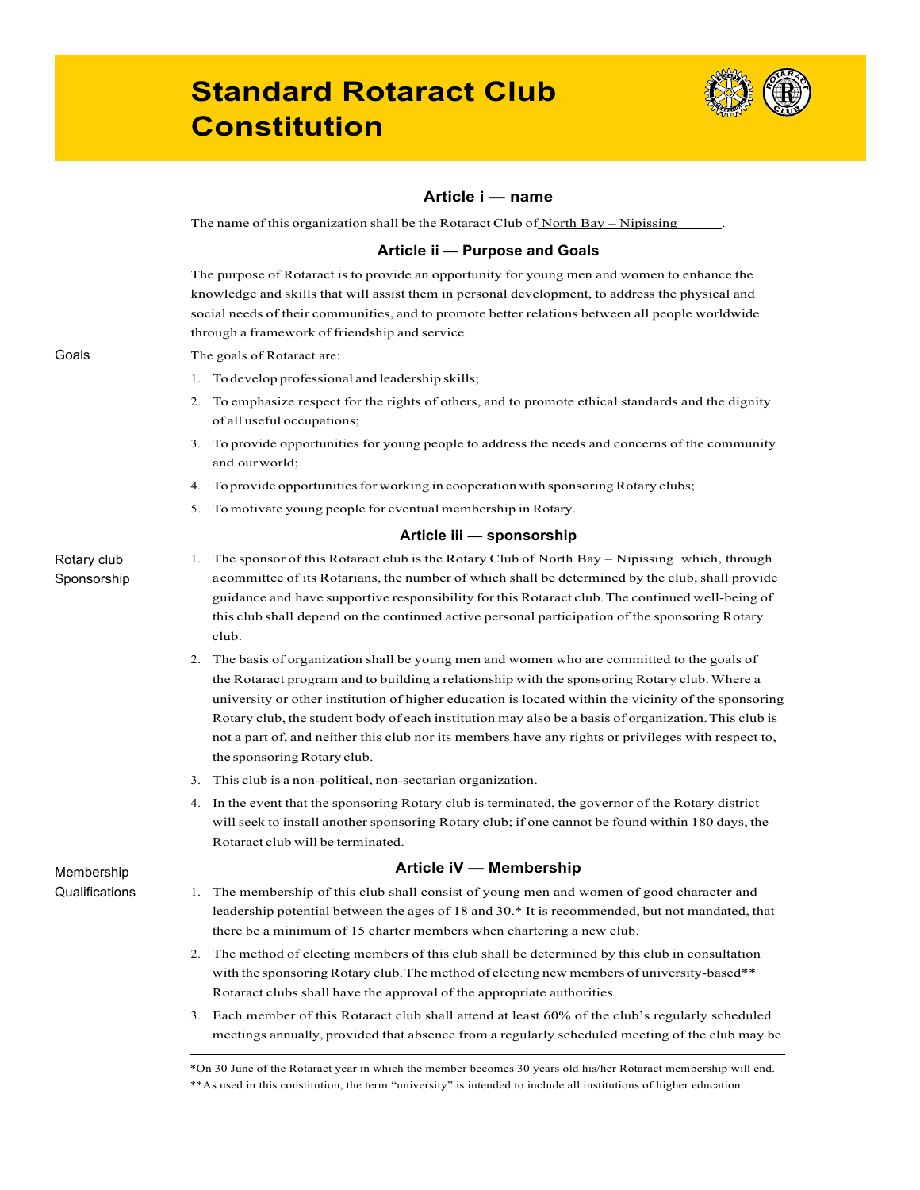## **Standard Rotaract Club Constitution'**



## **Article'i'— name**

The name of this organization shall be the Rotaract Club of North Bay – Nipissing

### **Article'ii'— Purpose'and'Goals**

The purpose of Rotaract is to provide an opportunity for young men and women to enhance the knowledge and skills that will assist them in personal development, to address the physical and social needs of their communities, and to promote better relations between all people worldwide through a framework of friendship and service.

#### The goals of Rotaract are:

- 1. Todevelop professional and leadership skills;
- 2. To emphasize respect for the rights of others, and to promote ethical standards and the dignity of all useful occupations;
- 3. To provide opportunities for young people to address the needs and concerns of the community and ourworld;
- 4. To provide opportunities for working in cooperation with sponsoring Rotary clubs;
- 5. Tomotivate young people for eventual membership in Rotary.

#### **Article'iii'— sponsorship**

- 1. The sponsor of this Rotaract club is the Rotary Club of North Bay Nipissing which, through acommittee of its Rotarians, the number of which shall be determined by the club, shall provide guidance and have supportive responsibility for this Rotaract club.The continued well-being of this club shall depend on the continued active personal participation of the sponsoring Rotary club.
	- 2. The basis of organization shall be young men and women who are committed to the goals of the Rotaract program and to building a relationship with the sponsoring Rotary club.Where a university or other institution of higher education is located within the vicinity of the sponsoring Rotary club, the student body of each institution may also be a basis of organization.This club is not a part of, and neither this club nor its members have any rights or privileges with respect to, the sponsoring Rotary club.
	- 3. This club is a non-political, non-sectarian organization.
	- 4. In the event that the sponsoring Rotary club is terminated, the governor of the Rotary district will seek to install another sponsoring Rotary club; if one cannot be found within 180 days, the Rotaract club will be terminated.

## **Article'iV'— Membership**

- 1. The membership of this club shall consist of young men and women of good character and leadership potential between the ages of 18 and 30.\* It is recommended, but not mandated, that there be a minimum of 15 charter members when chartering a new club.
- 2. The method of electing members of this club shall be determined by this club in consultation with the sponsoring Rotary club. The method of electing new members of university-based\*\* Rotaract clubs shall have the approval of the appropriate authorities.
- 3. Each member of this Rotaract club shall attend at least 60% of the club's regularly scheduled meetings annually, provided that absence from a regularly scheduled meeting of the club may be

Goals

## Rotary club Sponsorship

**Membership Qualifications** 

<sup>\*</sup>On 30 June of the Rotaract year in which the member becomes 30 years old his/her Rotaract membership will end. \*\*As used in this constitution, the term "university" is intended to include all institutions of higher education.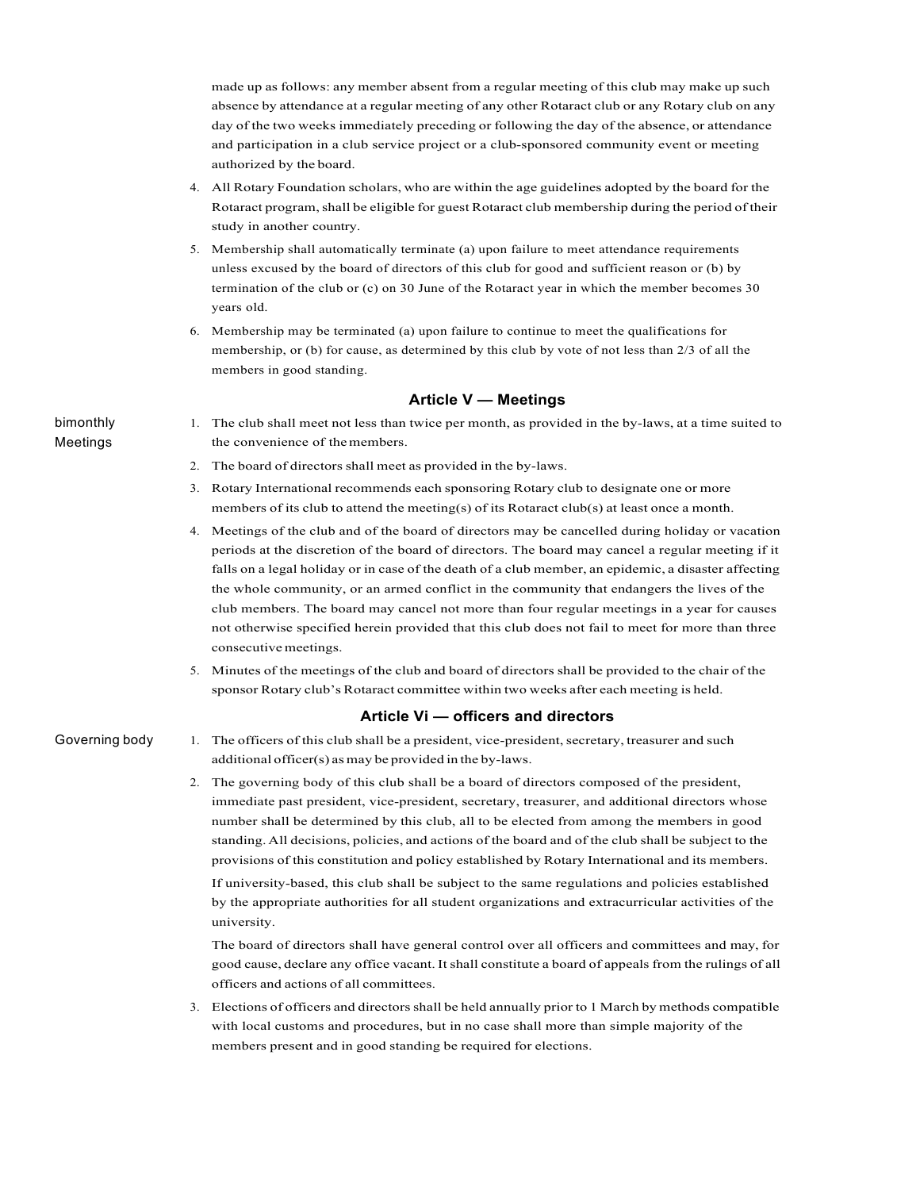made up as follows: any member absent from a regular meeting of this club may make up such absence by attendance at a regular meeting of any other Rotaract club or any Rotary club on any day of the two weeks immediately preceding or following the day of the absence, or attendance and participation in a club service project or a club-sponsored community event or meeting authorized by the board.

- 4. All Rotary Foundation scholars, who are within the age guidelines adopted by the board for the Rotaract program, shall be eligible for guest Rotaract club membership during the period of their study in another country.
- 5. Membership shall automatically terminate (a) upon failure to meet attendance requirements unless excused by the board of directors of this club for good and sufficient reason or (b) by termination of the club or (c) on 30 June of the Rotaract year in which the member becomes 30 years old.
- 6. Membership may be terminated (a) upon failure to continue to meet the qualifications for membership, or (b) for cause, as determined by this club by vote of not less than 2/3 of all the members in good standing.

#### **Article'V'— Meetings**

bimonthly! Meetings

- 1. The club shall meet not less than twice per month, as provided in the by-laws, at a time suited to the convenience of themembers.
- 2. The board of directors shall meet as provided in the by-laws.
- 3. Rotary International recommends each sponsoring Rotary club to designate one or more members of its club to attend the meeting(s) of its Rotaract club(s) at least once a month.
- 4. Meetings of the club and of the board of directors may be cancelled during holiday or vacation periods at the discretion of the board of directors. The board may cancel a regular meeting if it falls on a legal holiday or in case of the death of a club member, an epidemic, a disaster affecting the whole community, or an armed conflict in the community that endangers the lives of the club members. The board may cancel not more than four regular meetings in a year for causes not otherwise specified herein provided that this club does not fail to meet for more than three consecutivemeetings.
- 5. Minutes of the meetings of the club and board of directors shall be provided to the chair of the sponsor Rotary club's Rotaract committee within two weeks after each meeting is held.

#### Article Vi — officers and directors

- Governing body
- 1. The officers of this club shall be a president, vice-president, secretary, treasurer and such additional officer(s) as may be provided in the by-laws.
- 2. The governing body of this club shall be a board of directors composed of the president, immediate past president, vice-president, secretary, treasurer, and additional directors whose number shall be determined by this club, all to be elected from among the members in good standing. All decisions, policies, and actions of the board and of the club shall be subject to the provisions of this constitution and policy established by Rotary International and its members. If university-based, this club shall be subject to the same regulations and policies established by the appropriate authorities for all student organizations and extracurricular activities of the university.

The board of directors shall have general control over all officers and committees and may, for good cause, declare any office vacant. It shall constitute a board of appeals from the rulings of all officers and actions of all committees.

3. Elections of officers and directorsshall be held annually prior to 1 March by methods compatible with local customs and procedures, but in no case shall more than simple majority of the members present and in good standing be required for elections.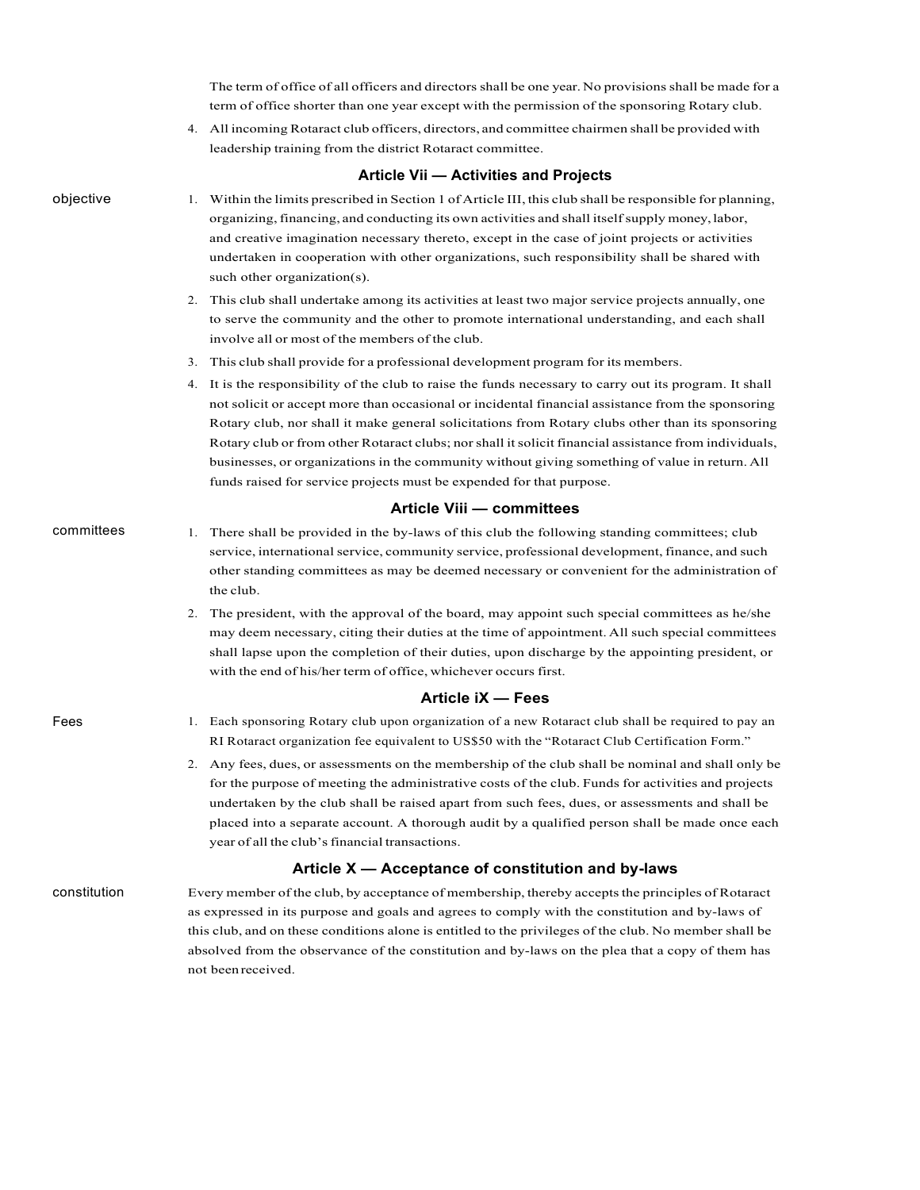The term of office of all officers and directors shall be one year. No provisions shall be made for a term of office shorter than one year except with the permission of the sponsoring Rotary club.

4. All incoming Rotaract club officers, directors, and committee chairmen shall be provided with leadership training from the district Rotaract committee.

#### **Article'Vii'— Activities'and'Projects**

- 1. Within the limits prescribed in Section 1 of Article III, this club shall be responsible for planning, organizing,financing, and conducting its own activities and shall itselfsupply money,labor, and creative imagination necessary thereto, except in the case of joint projects or activities undertaken in cooperation with other organizations, such responsibility shall be shared with such other organization(s).
	- 2. This club shall undertake among its activities at least two major service projects annually, one to serve the community and the other to promote international understanding, and each shall involve all or most of the members of the club.
	- 3. This club shall provide for a professional development program for its members.
	- 4. It is the responsibility of the club to raise the funds necessary to carry out its program. It shall not solicit or accept more than occasional or incidental financial assistance from the sponsoring Rotary club, nor shall it make general solicitations from Rotary clubs other than its sponsoring Rotary club or from other Rotaract clubs; norshall itsolicit financial assistance from individuals, businesses, or organizations in the community without giving something of value in return. All funds raised for service projects must be expended for that purpose.

#### **Article'Viii'— committees**

#### committees 1. There shall be provided in the by-laws of this club the following standing committees; club service, international service, community service, professional development, finance, and such other standing committees as may be deemed necessary or convenient for the administration of the club.

2. The president, with the approval of the board, may appoint such special committees as he/she may deem necessary, citing their duties at the time of appointment. All such special committees shall lapse upon the completion of their duties, upon discharge by the appointing president, or with the end of his/her term of office, whichever occurs first.

#### **Article'iX'— Fees**

- 1. Each sponsoring Rotary club upon organization of a new Rotaract club shall be required to pay an RI Rotaract organization fee equivalent to US\$50 with the "Rotaract Club Certification Form."
	- 2. Any fees, dues, or assessments on the membership of the club shall be nominal and shall only be for the purpose of meeting the administrative costs of the club. Funds for activities and projects undertaken by the club shall be raised apart from such fees, dues, or assessments and shall be placed into a separate account. A thorough audit by a qualified person shall be made once each year of all the club's financial transactions.

## Article X — Acceptance of constitution and by-laws

constitution Every member of the club, by acceptance of membership, thereby accepts the principles of Rotaract as expressed in its purpose and goals and agrees to comply with the constitution and by-laws of this club, and on these conditions alone is entitled to the privileges of the club. No member shall be absolved from the observance of the constitution and by-laws on the plea that a copy of them has not beenreceived.

objective

Fees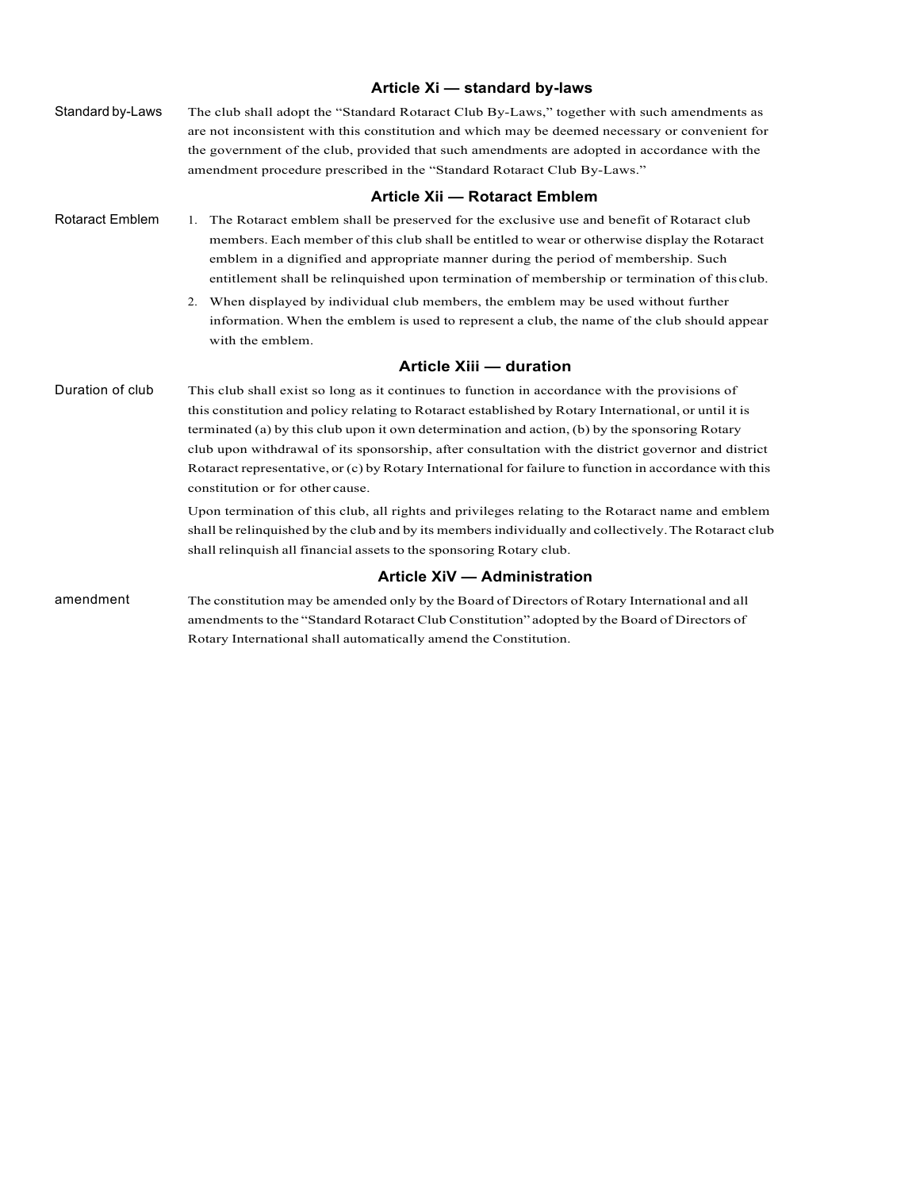|                        | Article Xi - standard by-laws                                                                                                                                                                                                                                                                                                                                                                                                                                                                                                                                   |
|------------------------|-----------------------------------------------------------------------------------------------------------------------------------------------------------------------------------------------------------------------------------------------------------------------------------------------------------------------------------------------------------------------------------------------------------------------------------------------------------------------------------------------------------------------------------------------------------------|
| Standard by-Laws       | The club shall adopt the "Standard Rotaract Club By-Laws," together with such amendments as<br>are not inconsistent with this constitution and which may be deemed necessary or convenient for<br>the government of the club, provided that such amendments are adopted in accordance with the<br>amendment procedure prescribed in the "Standard Rotaract Club By-Laws."                                                                                                                                                                                       |
|                        | Article Xii - Rotaract Emblem                                                                                                                                                                                                                                                                                                                                                                                                                                                                                                                                   |
| <b>Rotaract Emblem</b> | 1. The Rotaract emblem shall be preserved for the exclusive use and benefit of Rotaract club<br>members. Each member of this club shall be entitled to wear or otherwise display the Rotaract<br>emblem in a dignified and appropriate manner during the period of membership. Such<br>entitlement shall be relinquished upon termination of membership or termination of this club.                                                                                                                                                                            |
|                        | 2. When displayed by individual club members, the emblem may be used without further<br>information. When the emblem is used to represent a club, the name of the club should appear<br>with the emblem.                                                                                                                                                                                                                                                                                                                                                        |
|                        | <b>Article Xiii - duration</b>                                                                                                                                                                                                                                                                                                                                                                                                                                                                                                                                  |
| Duration of club       | This club shall exist so long as it continues to function in accordance with the provisions of<br>this constitution and policy relating to Rotaract established by Rotary International, or until it is<br>terminated (a) by this club upon it own determination and action, (b) by the sponsoring Rotary<br>club upon withdrawal of its sponsorship, after consultation with the district governor and district<br>Rotaract representative, or (c) by Rotary International for failure to function in accordance with this<br>constitution or for other cause. |
|                        | Upon termination of this club, all rights and privileges relating to the Rotaract name and emblem<br>shall be relinguished by the club and by its members individually and collectively. The Rotaract club<br>shall relinquish all financial assets to the sponsoring Rotary club.                                                                                                                                                                                                                                                                              |
|                        | Article XiV - Administration                                                                                                                                                                                                                                                                                                                                                                                                                                                                                                                                    |
| amendment              | The constitution may be amended only by the Board of Directors of Rotary International and all<br>amendments to the "Standard Rotaract Club Constitution" adopted by the Board of Directors of<br>Rotary International shall automatically amend the Constitution.                                                                                                                                                                                                                                                                                              |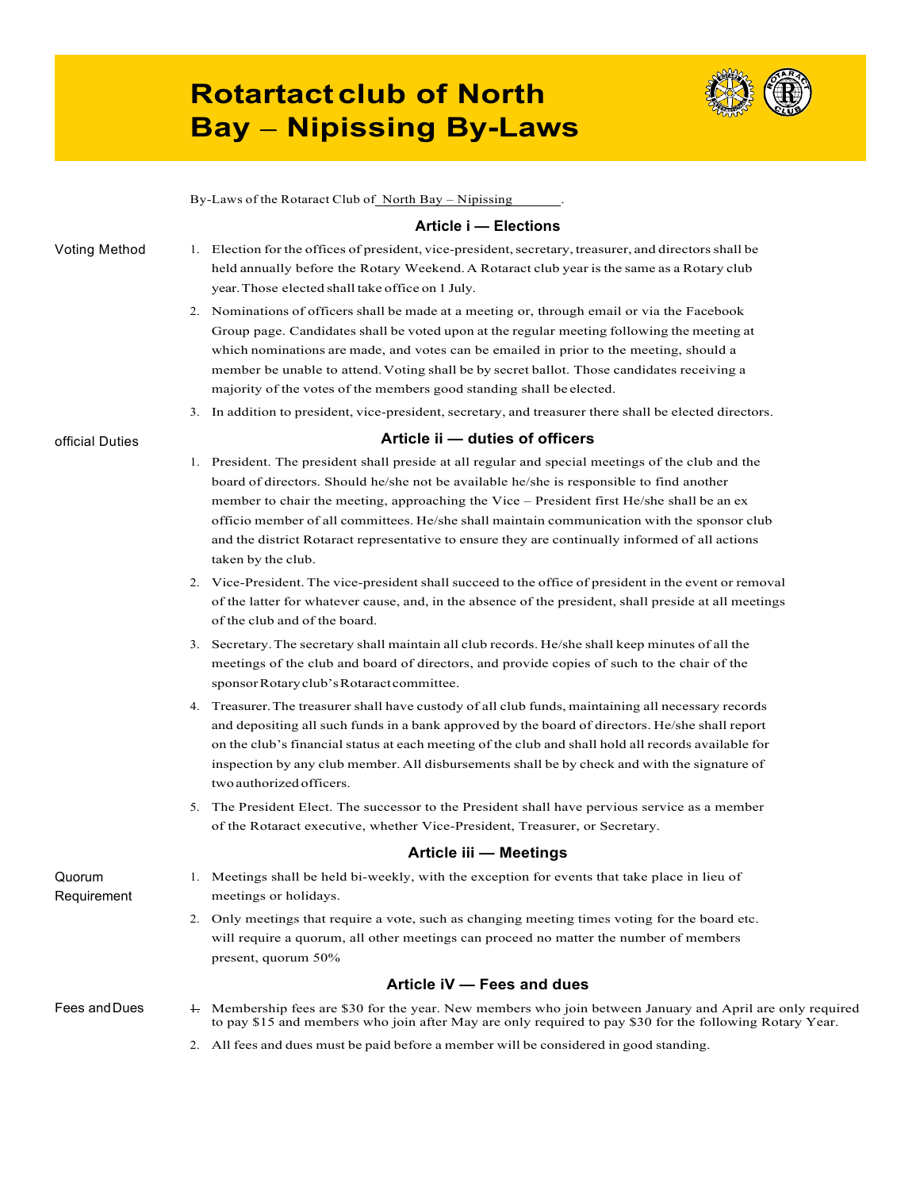# **Rotartact club of North Bay – Nipissing By-Laws**



Voting Method official Duties By-Laws of the Rotaract Club of North Bay – Nipissing **Article'i'— Elections** 1. Election for the offices of president, vice-president, secretary, treasurer, and directors shall be held annually before the Rotary Weekend.A Rotaract club year is the same as a Rotary club year.Those elected shall take office on 1 July. 2. Nominations of officers shall be made at a meeting or, through email or via the Facebook Group page. Candidates shall be voted upon at the regular meeting following the meeting at which nominations are made, and votes can be emailed in prior to the meeting, should a member be unable to attend.Voting shall be by secret ballot. Those candidates receiving a majority of the votes of the members good standing shall be elected. 3. In addition to president, vice-president, secretary, and treasurer there shall be elected directors. Article ii - duties of officers 1. President. The president shall preside at all regular and special meetings of the club and the board of directors. Should he/she not be available he/she is responsible to find another member to chair the meeting, approaching the Vice – President first He/she shall be an ex officio member of all committees. He/she shall maintain communication with the sponsor club and the district Rotaract representative to ensure they are continually informed of all actions taken by the club. 2. Vice-President. The vice-president shall succeed to the office of president in the event or removal of the latter for whatever cause, and, in the absence of the president, shall preside at all meetings of the club and of the board. 3. Secretary.The secretary shall maintain all club records. He/she shall keep minutes of all the meetings of the club and board of directors, and provide copies of such to the chair of the sponsor Rotary club's Rotaract committee. 4. Treasurer.The treasurer shall have custody of all club funds, maintaining all necessary records and depositing all such funds in a bank approved by the board of directors. He/she shall report on the club's financial status at each meeting of the club and shall hold all records available for inspection by any club member. All disbursements shall be by check and with the signature of two authorized officers. 5. The President Elect. The successor to the President shall have pervious service as a member of the Rotaract executive, whether Vice-President, Treasurer, or Secretary. Quorum! Requirement Fees and Dues **Article'iii'— Meetings** 1. Meetings shall be held bi-weekly, with the exception for events that take place in lieu of meetings or holidays. 2. Only meetings that require a vote, such as changing meeting times voting for the board etc. will require a quorum, all other meetings can proceed no matter the number of members present, quorum 50% **Article'iV'— Fees'and'dues** 1. Membership fees are \$30 for the year. New members who join between January and April are only required to pay \$15 and members who join after May are only required to pay \$30 for the following Rotary Year.

2. All fees and dues must be paid before a member will be considered in good standing.